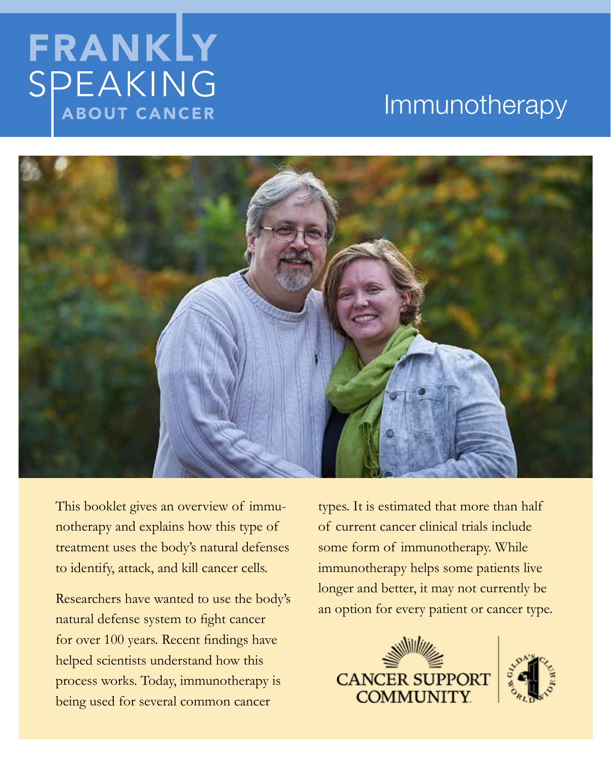# FRANKLY SPEAKING **ABOUT CANCER**

## Immunotherapy



This booklet gives an overview of immunotherapy and explains how this type of treatment uses the body's natural defenses to identify, attack, and kill cancer cells.

Researchers have wanted to use the body's natural defense system to fight cancer for over 100 years. Recent findings have helped scientists understand how this process works. Today, immunotherapy is being used for several common cancer

types. It is estimated that more than half of current cancer clinical trials include some form of immunotherapy. While immunotherapy helps some patients live longer and better, it may not currently be an option for every patient or cancer type.



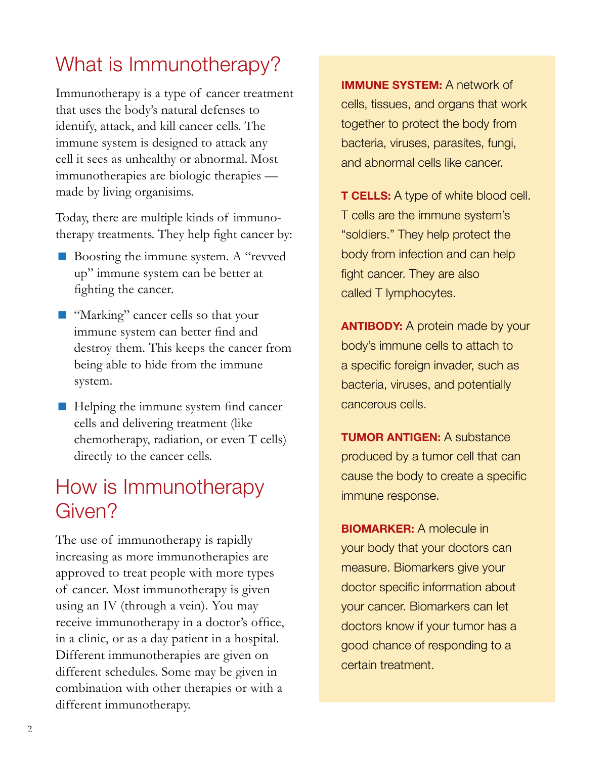### What is Immunotherapy?

Immunotherapy is a type of cancer treatment that uses the body's natural defenses to identify, attack, and kill cancer cells. The immune system is designed to attack any cell it sees as unhealthy or abnormal. Most immunotherapies are biologic therapies made by living organisims.

Today, there are multiple kinds of immunotherapy treatments. They help fight cancer by:

- Boosting the immune system. A "revved" up" immune system can be better at fighting the cancer.
- "Marking" cancer cells so that your immune system can better find and destroy them. This keeps the cancer from being able to hide from the immune system.
- Helping the immune system find cancer cells and delivering treatment (like chemotherapy, radiation, or even T cells) directly to the cancer cells.

### How is Immunotherapy Given?

The use of immunotherapy is rapidly increasing as more immunotherapies are approved to treat people with more types of cancer. Most immunotherapy is given using an IV (through a vein). You may receive immunotherapy in a doctor's office, in a clinic, or as a day patient in a hospital. Different immunotherapies are given on different schedules. Some may be given in combination with other therapies or with a different immunotherapy.

**IMMUNE SYSTEM:** A network of cells, tissues, and organs that work together to protect the body from bacteria, viruses, parasites, fungi, and abnormal cells like cancer.

**T CELLS:** A type of white blood cell. T cells are the immune system's "soldiers." They help protect the body from infection and can help fight cancer. They are also called T lymphocytes.

**ANTIBODY:** A protein made by your body's immune cells to attach to a specific foreign invader, such as bacteria, viruses, and potentially cancerous cells.

**TUMOR ANTIGEN:** A substance produced by a tumor cell that can cause the body to create a specific immune response.

**BIOMARKER:** A molecule in your body that your doctors can measure. Biomarkers give your doctor specific information about your cancer. Biomarkers can let doctors know if your tumor has a good chance of responding to a certain treatment.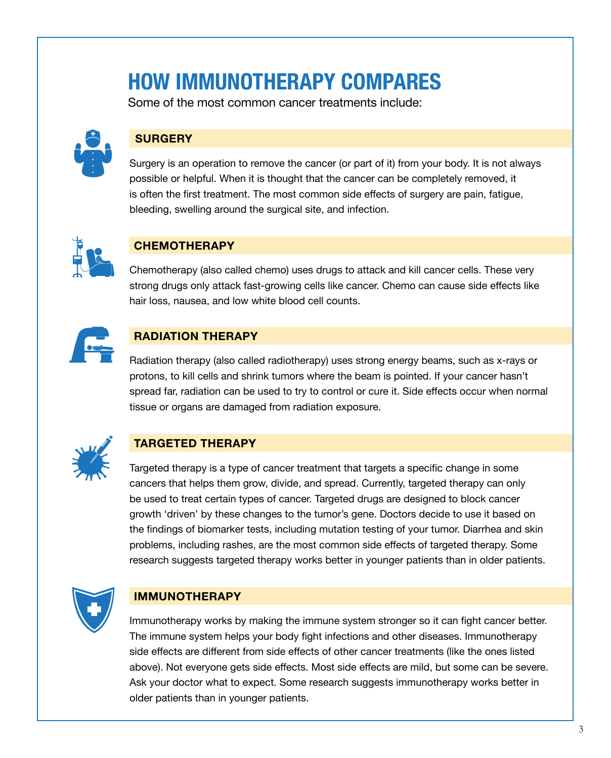## **HOW IMMUNOTHERAPY COMPARES**

Some of the most common cancer treatments include:



### **SURGERY**

Surgery is an operation to remove the cancer (or part of it) from your body. It is not always possible or helpful. When it is thought that the cancer can be completely removed, it is often the first treatment. The most common side effects of surgery are pain, fatigue, bleeding, swelling around the surgical site, and infection.



### **CHEMOTHERAPY**

Chemotherapy (also called chemo) uses drugs to attack and kill cancer cells. These very strong drugs only attack fast-growing cells like cancer. Chemo can cause side effects like hair loss, nausea, and low white blood cell counts.



### **RADIATION THERAPY**

Radiation therapy (also called radiotherapy) uses strong energy beams, such as x-rays or protons, to kill cells and shrink tumors where the beam is pointed. If your cancer hasn't spread far, radiation can be used to try to control or cure it. Side effects occur when normal tissue or organs are damaged from radiation exposure.



### **TARGETED THERAPY**

Targeted therapy is a type of cancer treatment that targets a specific change in some cancers that helps them grow, divide, and spread. Currently, targeted therapy can only be used to treat certain types of cancer. Targeted drugs are designed to block cancer growth 'driven' by these changes to the tumor's gene. Doctors decide to use it based on the findings of biomarker tests, including mutation testing of your tumor. Diarrhea and skin problems, including rashes, are the most common side effects of targeted therapy. Some research suggests targeted therapy works better in younger patients than in older patients.



### **IMMUNOTHERAPY**

Immunotherapy works by making the immune system stronger so it can fight cancer better. The immune system helps your body fight infections and other diseases. Immunotherapy side effects are different from side effects of other cancer treatments (like the ones listed above). Not everyone gets side effects. Most side effects are mild, but some can be severe. Ask your doctor what to expect. Some research suggests immunotherapy works better in older patients than in younger patients.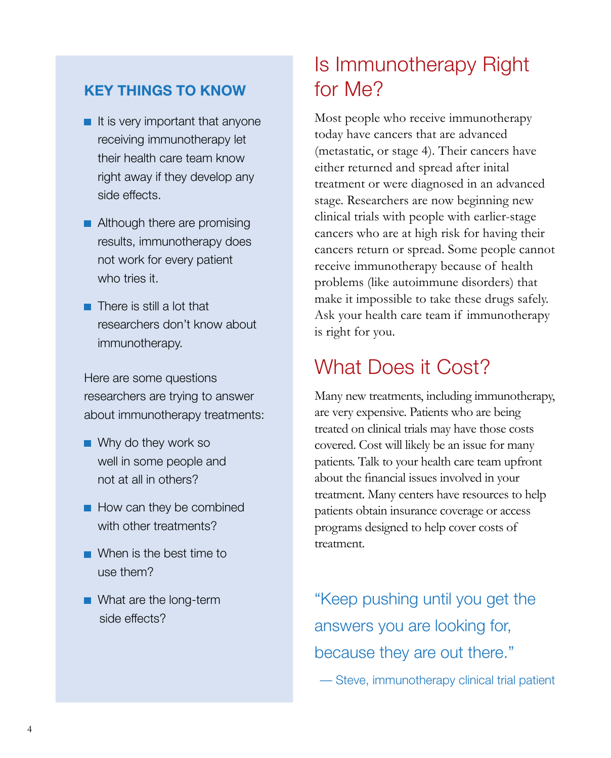### **KEY THINGS TO KNOW**

- $\blacksquare$  It is very important that anyone receiving immunotherapy let their health care team know right away if they develop any side effects.
- **Although there are promising** results, immunotherapy does not work for every patient who tries it.
- **There is still a lot that** researchers don't know about immunotherapy.

Here are some questions researchers are trying to answer about immunotherapy treatments:

- Why do they work so well in some people and not at all in others?
- $\blacksquare$  How can they be combined with other treatments?
- When is the best time to use them?
- **No. 2018** What are the long-term side effects?

### Is Immunotherapy Right for Me?

Most people who receive immunotherapy today have cancers that are advanced (metastatic, or stage 4). Their cancers have either returned and spread after inital treatment or were diagnosed in an advanced stage. Researchers are now beginning new clinical trials with people with earlier-stage cancers who are at high risk for having their cancers return or spread. Some people cannot receive immunotherapy because of health problems (like autoimmune disorders) that make it impossible to take these drugs safely. Ask your health care team if immunotherapy is right for you.

### What Does it Cost?

Many new treatments, including immunotherapy, are very expensive. Patients who are being treated on clinical trials may have those costs covered. Cost will likely be an issue for many patients. Talk to your health care team upfront about the financial issues involved in your treatment. Many centers have resources to help patients obtain insurance coverage or access programs designed to help cover costs of treatment.

"Keep pushing until you get the answers you are looking for, because they are out there." — Steve, immunotherapy clinical trial patient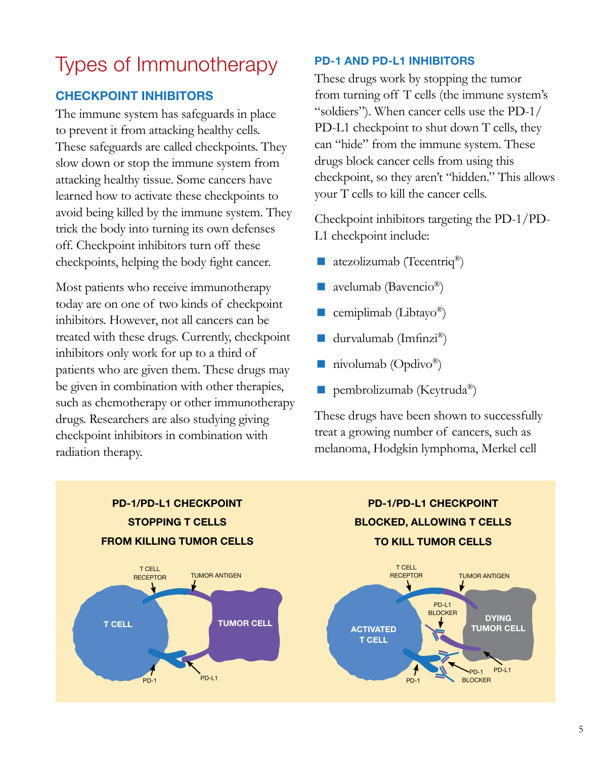### Types of Immunotherapy

### **CHECKPOINT INHIBITORS**

The immune system has safeguards in place to prevent it from attacking healthy cells. These safeguards are called checkpoints. They slow down or stop the immune system from attacking healthy tissue. Some cancers have learned how to activate these checkpoints to avoid being killed by the immune system. They trick the body into turning its own defenses off. Checkpoint inhibitors turn off these checkpoints, helping the body fight cancer.

Most patients who receive immunotherapy today are on one of two kinds of checkpoint inhibitors. However, not all cancers can be treated with these drugs. Currently, checkpoint inhibitors only work for up to a third of patients who are given them. These drugs may be given in combination with other therapies, such as chemotherapy or other immunotherapy drugs. Researchers are also studying giving checkpoint inhibitors in combination with radiation therapy.

#### **PD-1 AND PD-L1 INHIBITORS**

These drugs work by stopping the tumor from turning off T cells (the immune system's "soldiers"). When cancer cells use the PD-1/ PD-L1 checkpoint to shut down T cells, they can "hide" from the immune system. These drugs block cancer cells from using this checkpoint, so they aren't "hidden." This allows your T cells to kill the cancer cells.

Checkpoint inhibitors targeting the PD-1/PD-L1 checkpoint include:

- atezolizumab (Tecentriq®)
- avelumab (Bavencio®)
- cemiplimab (Libtayo®)
- durvalumab (Imfinzi®)
- nivolumab (Opdivo<sup>®</sup>)
- pembrolizumab (Keytruda<sup>®</sup>)

These drugs have been shown to successfully treat a growing number of cancers, such as melanoma, Hodgkin lymphoma, Merkel cell



**PD-1/PD-L1 CHECKPOINT BLOCKED, ALLOWING T CELLS TO KILL TUMOR CELLS**

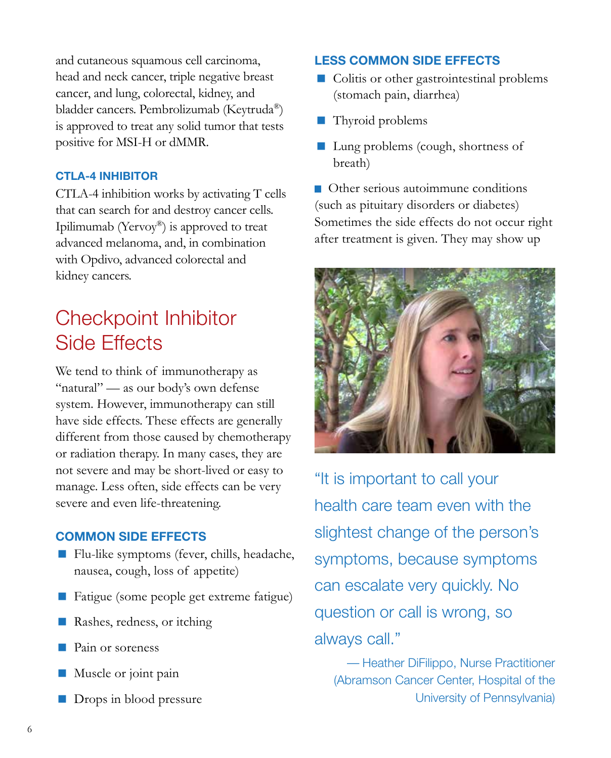and cutaneous squamous cell carcinoma, head and neck cancer, triple negative breast cancer, and lung, colorectal, kidney, and bladder cancers. Pembrolizumab (Keytruda®) is approved to treat any solid tumor that tests positive for MSI-H or dMMR.

#### **CTLA-4 INHIBITOR**

CTLA-4 inhibition works by activating T cells that can search for and destroy cancer cells. Ipilimumab (Yervoy®) is approved to treat advanced melanoma, and, in combination with Opdivo, advanced colorectal and kidney cancers.

### Checkpoint Inhibitor Side Effects

We tend to think of immunotherapy as "natural" — as our body's own defense system. However, immunotherapy can still have side effects. These effects are generally different from those caused by chemotherapy or radiation therapy. In many cases, they are not severe and may be short-lived or easy to manage. Less often, side effects can be very severe and even life-threatening.

### **COMMON SIDE EFFECTS**

- Flu-like symptoms (fever, chills, headache, nausea, cough, loss of appetite)
- Fatigue (some people get extreme fatigue)
- Rashes, redness, or itching
- Pain or soreness
- **Muscle or joint pain**
- Drops in blood pressure

#### **LESS COMMON SIDE EFFECTS**

- Colitis or other gastrointestinal problems (stomach pain, diarrhea)
- Thyroid problems
- Lung problems (cough, shortness of breath)

Other serious autoimmune conditions (such as pituitary disorders or diabetes) Sometimes the side effects do not occur right after treatment is given. They may show up



"It is important to call your health care team even with the slightest change of the person's symptoms, because symptoms can escalate very quickly. No question or call is wrong, so always call."

— Heather DiFilippo, Nurse Practitioner (Abramson Cancer Center, Hospital of the University of Pennsylvania)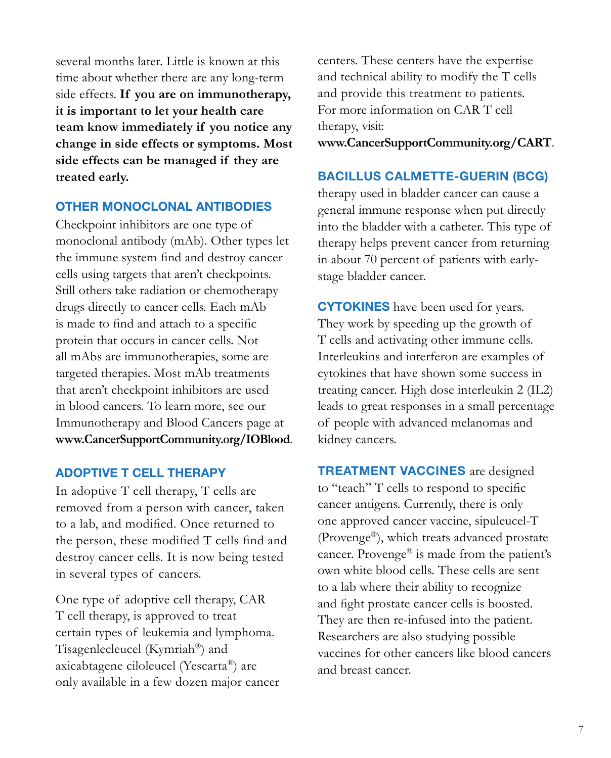several months later. Little is known at this time about whether there are any long-term side effects. **If you are on immunotherapy, it is important to let your health care team know immediately if you notice any change in side effects or symptoms. Most side effects can be managed if they are treated early.**

#### **OTHER MONOCLONAL ANTIBODIES**

Checkpoint inhibitors are one type of monoclonal antibody (mAb). Other types let the immune system find and destroy cancer cells using targets that aren't checkpoints. Still others take radiation or chemotherapy drugs directly to cancer cells. Each mAb is made to find and attach to a specific protein that occurs in cancer cells. Not all mAbs are immunotherapies, some are targeted therapies. Most mAb treatments that aren't checkpoint inhibitors are used in blood cancers. To learn more, see our Immunotherapy and Blood Cancers page at **[www.CancerSupportCommunity.org/IOBlood](http://www.CancerSupportCommunity.org/IOBlood)**.

#### **ADOPTIVE T CELL THERAPY**

In adoptive T cell therapy, T cells are removed from a person with cancer, taken to a lab, and modified. Once returned to the person, these modified T cells find and destroy cancer cells. It is now being tested in several types of cancers.

One type of adoptive cell therapy, CAR T cell therapy, is approved to treat certain types of leukemia and lymphoma. Tisagenlecleucel (Kymriah®) and axicabtagene ciloleucel (Yescarta®) are only available in a few dozen major cancer centers. These centers have the expertise and technical ability to modify the T cells and provide this treatment to patients. For more information on CAR T cell therapy, visit:

**[www.CancerSupportCommunity.org/CART](http://www.CancerSupportCommunity.org/CART)**.

#### **BACILLUS CALMETTE-GUERIN (BCG)**

therapy used in bladder cancer can cause a general immune response when put directly into the bladder with a catheter. This type of therapy helps prevent cancer from returning in about 70 percent of patients with earlystage bladder cancer.

**CYTOKINES** have been used for years. They work by speeding up the growth of T cells and activating other immune cells. Interleukins and interferon are examples of cytokines that have shown some success in treating cancer. High dose interleukin 2 (IL2) leads to great responses in a small percentage of people with advanced melanomas and kidney cancers.

**TREATMENT VACCINES** are designed to "teach" T cells to respond to specific cancer antigens. Currently, there is only one approved cancer vaccine, sipuleucel-T (Provenge®), which treats advanced prostate cancer. Provenge® is made from the patient's own white blood cells. These cells are sent to a lab where their ability to recognize and fight prostate cancer cells is boosted. They are then re-infused into the patient. Researchers are also studying possible vaccines for other cancers like blood cancers and breast cancer.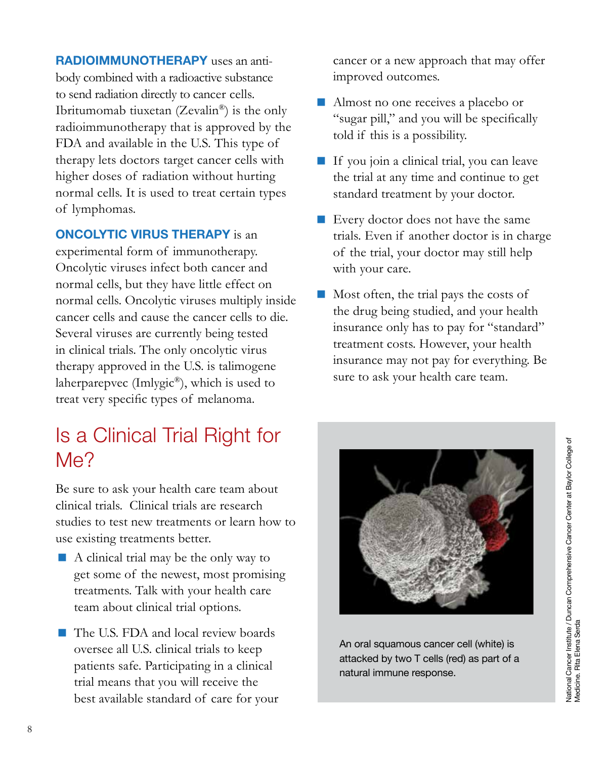**RADIOIMMUNOTHERAPY** uses an antibody combined with a radioactive substance to send radiation directly to cancer cells. Ibritumomab tiuxetan (Zevalin®) is the only radioimmunotherapy that is approved by the FDA and available in the U.S. This type of therapy lets doctors target cancer cells with higher doses of radiation without hurting normal cells. It is used to treat certain types of lymphomas.

#### **ONCOLYTIC VIRUS THERAPY** is an

experimental form of immunotherapy. Oncolytic viruses infect both cancer and normal cells, but they have little effect on normal cells. Oncolytic viruses multiply inside cancer cells and cause the cancer cells to die. Several viruses are currently being tested in clinical trials. The only oncolytic virus therapy approved in the U.S. is talimogene laherparepvec (Imlygic®), which is used to treat very specific types of melanoma.

### Is a Clinical Trial Right for Me?

Be sure to ask your health care team about clinical trials. Clinical trials are research studies to test new treatments or learn how to use existing treatments better.

- A clinical trial may be the only way to get some of the newest, most promising treatments. Talk with your health care team about clinical trial options.
- The U.S. FDA and local review boards oversee all U.S. clinical trials to keep patients safe. Participating in a clinical trial means that you will receive the best available standard of care for your

cancer or a new approach that may offer improved outcomes.

- Almost no one receives a placebo or "sugar pill," and you will be specifically told if this is a possibility.
- If you join a clinical trial, you can leave the trial at any time and continue to get standard treatment by your doctor.
- Every doctor does not have the same trials. Even if another doctor is in charge of the trial, your doctor may still help with your care.
- $\blacksquare$  Most often, the trial pays the costs of the drug being studied, and your health insurance only has to pay for "standard" treatment costs. However, your health insurance may not pay for everything. Be sure to ask your health care team.



An oral squamous cancer cell (white) is attacked by two T cells (red) as part of a natural immune response.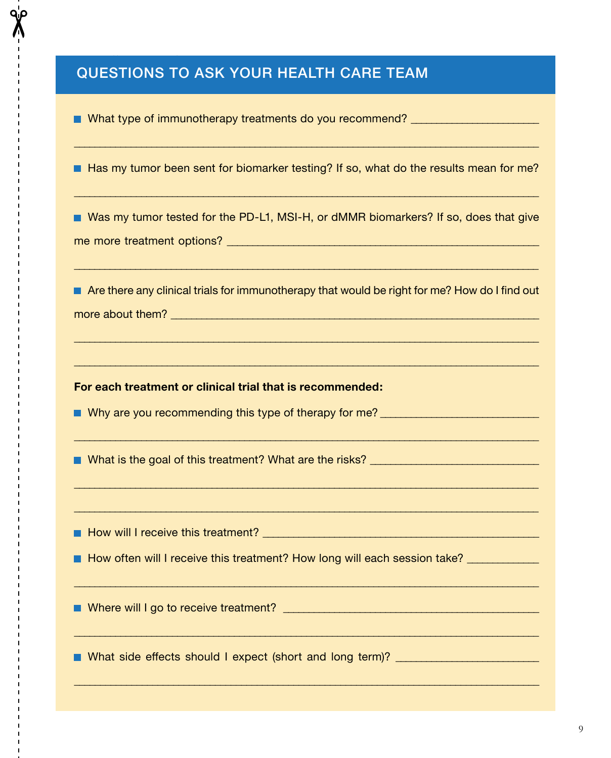#### How will introduce the contribution of the contribution of  $\mathcal{E}$ QUESTIONS TO ASK YOUR HEALTH CARE TEAM

 $\blacksquare$  What type of immunotherapy treatments do you recommend?

 $\blacksquare$  Has my tumor been sent for biomarker testing? If so, what do the results mean for me?

 $\_$  ,  $\_$  ,  $\_$  ,  $\_$  ,  $\_$  ,  $\_$  ,  $\_$  ,  $\_$  ,  $\_$  ,  $\_$  ,  $\_$  ,  $\_$  ,  $\_$  ,  $\_$  ,  $\_$  ,  $\_$  ,  $\_$  ,  $\_$  ,  $\_$  ,  $\_$  ,  $\_$  ,  $\_$  ,  $\_$  ,  $\_$  ,  $\_$  ,  $\_$  ,  $\_$  ,  $\_$  ,  $\_$  ,  $\_$  ,  $\_$  ,  $\_$  ,  $\_$  ,  $\_$  ,  $\_$  ,  $\_$  ,  $\_$  ,

 $\_$  ,  $\_$  ,  $\_$  ,  $\_$  ,  $\_$  ,  $\_$  ,  $\_$  ,  $\_$  ,  $\_$  ,  $\_$  ,  $\_$  ,  $\_$  ,  $\_$  ,  $\_$  ,  $\_$  ,  $\_$  ,  $\_$  ,  $\_$  ,  $\_$  ,  $\_$  ,  $\_$  ,  $\_$  ,  $\_$  ,  $\_$  ,  $\_$  ,  $\_$  ,  $\_$  ,  $\_$  ,  $\_$  ,  $\_$  ,  $\_$  ,  $\_$  ,  $\_$  ,  $\_$  ,  $\_$  ,  $\_$  ,  $\_$  ,

■ Was my tumor tested for the PD-L1, MSI-H, or dMMR biomarkers? If so, does that give me more treatment options? \_\_\_\_\_\_\_\_\_\_\_\_\_\_\_\_\_\_\_\_\_\_\_\_\_\_\_\_\_\_\_\_\_\_\_\_\_\_\_\_\_\_\_\_\_\_\_\_\_\_\_\_\_\_\_\_\_\_\_\_\_

**Are there any clinical trials for immunotherapy that would be right for me? How do I find out** more about them? \_\_\_\_\_\_\_\_\_\_\_\_\_\_\_\_\_\_\_\_\_\_\_\_\_\_\_\_\_\_\_\_\_\_\_\_\_\_\_\_\_\_\_\_\_\_\_\_\_\_\_\_\_\_\_\_\_\_\_\_\_\_\_\_\_\_\_\_\_\_\_\_

 $\_$  ,  $\_$  ,  $\_$  ,  $\_$  ,  $\_$  ,  $\_$  ,  $\_$  ,  $\_$  ,  $\_$  ,  $\_$  ,  $\_$  ,  $\_$  ,  $\_$  ,  $\_$  ,  $\_$  ,  $\_$  ,  $\_$  ,  $\_$  ,  $\_$  ,  $\_$  ,  $\_$  ,  $\_$  ,  $\_$  ,  $\_$  ,  $\_$  ,  $\_$  ,  $\_$  ,  $\_$  ,  $\_$  ,  $\_$  ,  $\_$  ,  $\_$  ,  $\_$  ,  $\_$  ,  $\_$  ,  $\_$  ,  $\_$  ,

 $\_$  ,  $\_$  ,  $\_$  ,  $\_$  ,  $\_$  ,  $\_$  ,  $\_$  ,  $\_$  ,  $\_$  ,  $\_$  ,  $\_$  ,  $\_$  ,  $\_$  ,  $\_$  ,  $\_$  ,  $\_$  ,  $\_$  ,  $\_$  ,  $\_$  ,  $\_$  ,  $\_$  ,  $\_$  ,  $\_$  ,  $\_$  ,  $\_$  ,  $\_$  ,  $\_$  ,  $\_$  ,  $\_$  ,  $\_$  ,  $\_$  ,  $\_$  ,  $\_$  ,  $\_$  ,  $\_$  ,  $\_$  ,  $\_$  ,

 $\_$  ,  $\_$  ,  $\_$  ,  $\_$  ,  $\_$  ,  $\_$  ,  $\_$  ,  $\_$  ,  $\_$  ,  $\_$  ,  $\_$  ,  $\_$  ,  $\_$  ,  $\_$  ,  $\_$  ,  $\_$  ,  $\_$  ,  $\_$  ,  $\_$  ,  $\_$  ,  $\_$  ,  $\_$  ,  $\_$  ,  $\_$  ,  $\_$  ,  $\_$  ,  $\_$  ,  $\_$  ,  $\_$  ,  $\_$  ,  $\_$  ,  $\_$  ,  $\_$  ,  $\_$  ,  $\_$  ,  $\_$  ,  $\_$  ,

 $\overline{\phantom{a}}$  ,  $\overline{\phantom{a}}$  ,  $\overline{\phantom{a}}$  ,  $\overline{\phantom{a}}$  ,  $\overline{\phantom{a}}$  ,  $\overline{\phantom{a}}$  ,  $\overline{\phantom{a}}$  ,  $\overline{\phantom{a}}$  ,  $\overline{\phantom{a}}$  ,  $\overline{\phantom{a}}$  ,  $\overline{\phantom{a}}$  ,  $\overline{\phantom{a}}$  ,  $\overline{\phantom{a}}$  ,  $\overline{\phantom{a}}$  ,  $\overline{\phantom{a}}$  ,  $\overline{\phantom{a}}$ 

 $\_$  ,  $\_$  ,  $\_$  ,  $\_$  ,  $\_$  ,  $\_$  ,  $\_$  ,  $\_$  ,  $\_$  ,  $\_$  ,  $\_$  ,  $\_$  ,  $\_$  ,  $\_$  ,  $\_$  ,  $\_$  ,  $\_$  ,  $\_$  ,  $\_$  ,  $\_$  ,  $\_$  ,  $\_$  ,  $\_$  ,  $\_$  ,  $\_$  ,  $\_$  ,  $\_$  ,  $\_$  ,  $\_$  ,  $\_$  ,  $\_$  ,  $\_$  ,  $\_$  ,  $\_$  ,  $\_$  ,  $\_$  ,  $\_$  ,

\_\_\_\_\_\_\_\_\_\_\_\_\_\_\_\_\_\_\_\_\_\_\_\_\_\_\_\_\_\_\_\_\_\_\_\_\_\_\_\_\_\_\_\_\_\_\_\_\_\_\_\_\_\_\_\_\_\_\_\_\_\_\_\_\_\_\_\_\_\_\_\_\_\_\_\_\_\_\_\_\_\_\_\_\_\_\_\_\_\_

\_\_\_\_\_\_\_\_\_\_\_\_\_\_\_\_\_\_\_\_\_\_\_\_\_\_\_\_\_\_\_\_\_\_\_\_\_\_\_\_\_\_\_\_\_\_\_\_\_\_\_\_\_\_\_\_\_\_\_\_\_\_\_\_\_\_\_\_\_\_\_\_\_\_\_\_\_\_\_\_\_\_\_\_\_\_\_\_\_\_

\_\_\_\_\_\_\_\_\_\_\_\_\_\_\_\_\_\_\_\_\_\_\_\_\_\_\_\_\_\_\_\_\_\_\_\_\_\_\_\_\_\_\_\_\_\_\_\_\_\_\_\_\_\_\_\_\_\_\_\_\_\_\_\_\_\_\_\_\_\_\_\_\_\_\_\_\_\_\_\_\_\_\_\_\_\_\_\_\_

 $\overline{\phantom{a}}$  ,  $\overline{\phantom{a}}$  ,  $\overline{\phantom{a}}$  ,  $\overline{\phantom{a}}$  ,  $\overline{\phantom{a}}$  ,  $\overline{\phantom{a}}$  ,  $\overline{\phantom{a}}$  ,  $\overline{\phantom{a}}$  ,  $\overline{\phantom{a}}$  ,  $\overline{\phantom{a}}$  ,  $\overline{\phantom{a}}$  ,  $\overline{\phantom{a}}$  ,  $\overline{\phantom{a}}$  ,  $\overline{\phantom{a}}$  ,  $\overline{\phantom{a}}$  ,  $\overline{\phantom{a}}$ 

**For each treatment or clinical trial that is recommended:**

■ Why are you recommending this type of therapy for me? ■ \_\_\_\_\_\_\_\_\_\_\_\_\_\_\_\_\_\_\_\_\_\_

What is the goal of this treatment? What are the risks? \_\_\_\_\_\_\_\_\_\_\_\_\_\_\_\_\_\_\_\_\_\_\_\_\_\_\_\_\_\_\_\_\_

How will I receive this treatment? \_\_\_\_\_\_\_\_\_\_\_\_\_\_\_\_\_\_\_\_\_\_\_\_\_\_\_\_\_\_\_\_\_\_\_\_\_\_\_\_\_\_\_\_\_\_\_\_\_\_\_\_\_\_

How often will I receive this treatment? How long will each session take? \_\_\_\_\_\_\_\_\_\_\_

Where will I go to receive treatment? \_\_\_\_\_\_\_\_\_\_\_\_\_\_\_\_\_\_\_\_\_\_\_\_\_\_\_\_\_\_\_\_\_\_\_\_\_\_\_\_\_\_\_\_\_\_\_\_\_\_

■ What side effects should I expect (short and long term)? \_\_\_\_\_\_\_\_\_\_\_\_\_\_\_\_\_\_\_\_\_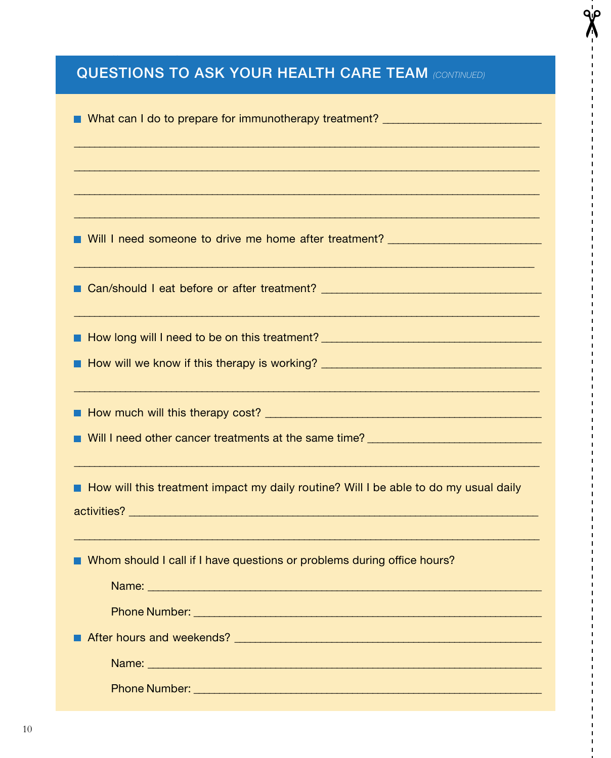### **QUESTIONS TO ASK YOUR HEALTH CARE TEAM (CONTINUED)**

q¦ρ

| ■ What can I do to prepare for immunotherapy treatment? ________________________                                     |
|----------------------------------------------------------------------------------------------------------------------|
|                                                                                                                      |
|                                                                                                                      |
|                                                                                                                      |
| ■ Will I need someone to drive me home after treatment? ________________________                                     |
| <u> 1989 - Jan James James James James James James James James James James James James James James James James J</u> |
|                                                                                                                      |
|                                                                                                                      |
|                                                                                                                      |
|                                                                                                                      |
| How will this treatment impact my daily routine? Will I be able to do my usual daily                                 |
| Whom should I call if I have questions or problems during office hours?                                              |
|                                                                                                                      |
|                                                                                                                      |
|                                                                                                                      |
| Phone Number: All and All and All and All and All and All and All and All and All and All and All and All and        |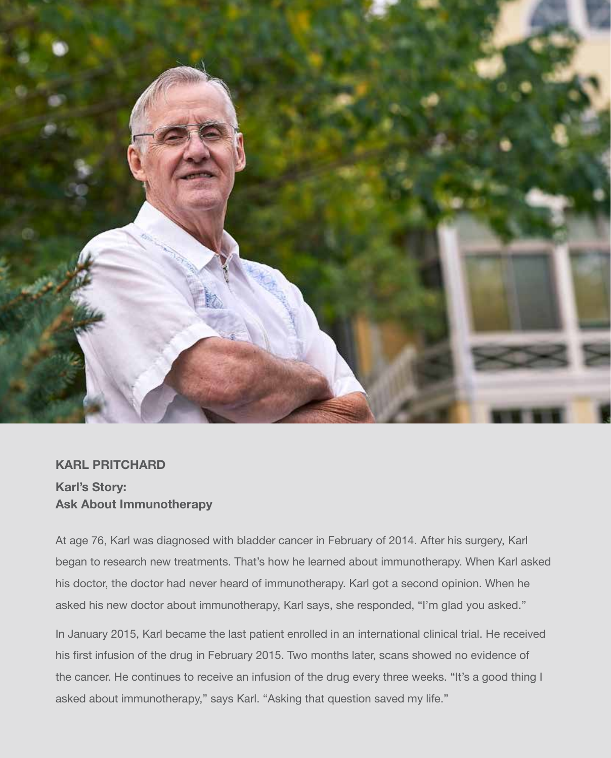

### **KARL PRITCHARD Karl's Story: Ask About Immunotherapy**

At age 76, Karl was diagnosed with bladder cancer in February of 2014. After his surgery, Karl began to research new treatments. That's how he learned about immunotherapy. When Karl asked his doctor, the doctor had never heard of immunotherapy. Karl got a second opinion. When he asked his new doctor about immunotherapy, Karl says, she responded, "I'm glad you asked."

In January 2015, Karl became the last patient enrolled in an international clinical trial. He received his first infusion of the drug in February 2015. Two months later, scans showed no evidence of the cancer. He continues to receive an infusion of the drug every three weeks. "It's a good thing I asked about immunotherapy," says Karl. "Asking that question saved my life."